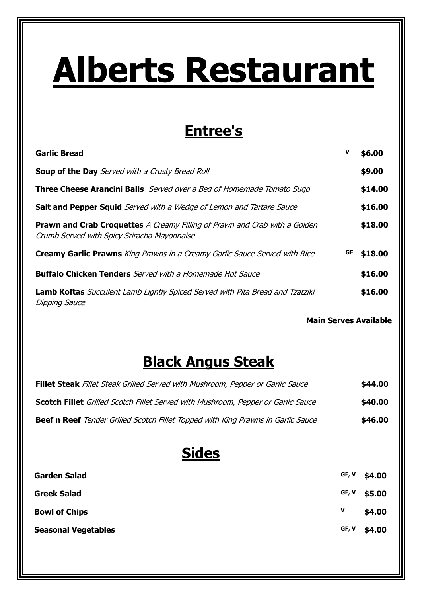# **Alberts Restaurant**

## **Entree's**

| <b>Garlic Bread</b>                                                                                                              | V  | \$6.00  |
|----------------------------------------------------------------------------------------------------------------------------------|----|---------|
| <b>Soup of the Day</b> Served with a Crusty Bread Roll                                                                           |    | \$9.00  |
| <b>Three Cheese Arancini Balls</b> Served over a Bed of Homemade Tomato Sugo                                                     |    | \$14.00 |
| <b>Salt and Pepper Squid</b> Served with a Wedge of Lemon and Tartare Sauce                                                      |    | \$16.00 |
| <b>Prawn and Crab Croquettes</b> A Creamy Filling of Prawn and Crab with a Golden<br>Crumb Served with Spicy Sriracha Mayonnaise |    | \$18.00 |
| <b>Creamy Garlic Prawns</b> King Prawns in a Creamy Garlic Sauce Served with Rice                                                | GF | \$18.00 |
| <b>Buffalo Chicken Tenders</b> Served with a Homemade Hot Sauce                                                                  |    | \$16.00 |
| <b>Lamb Koftas</b> Succulent Lamb Lightly Spiced Served with Pita Bread and Tzatziki<br><b>Dipping Sauce</b>                     |    | \$16.00 |

**Main Serves Available**

## **Black Angus Steak**

| <b>Fillet Steak</b> Fillet Steak Grilled Served with Mushroom, Pepper or Garlic Sauce   | \$44.00 |
|-----------------------------------------------------------------------------------------|---------|
| <b>Scotch Fillet</b> Grilled Scotch Fillet Served with Mushroom, Pepper or Garlic Sauce | \$40.00 |
| <b>Beef n Reef</b> Tender Grilled Scotch Fillet Topped with King Prawns in Garlic Sauce | \$46.00 |

#### **Sides**

| <b>Garden Salad</b>        | GF, V | \$4.00         |
|----------------------------|-------|----------------|
| <b>Greek Salad</b>         |       | GF, $V$ \$5.00 |
| <b>Bowl of Chips</b>       | v     | \$4.00         |
| <b>Seasonal Vegetables</b> |       | GF, V \$4.00   |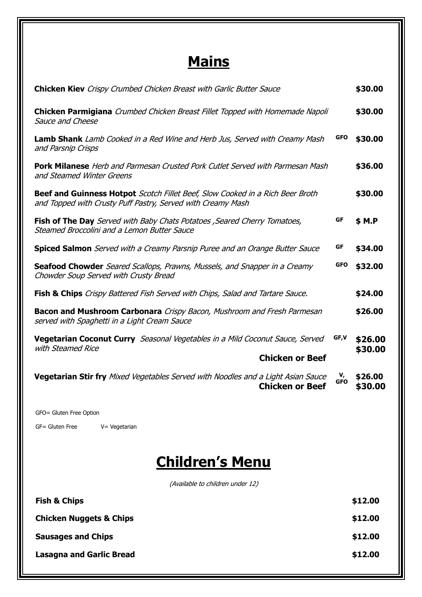## **Mains**

| <b>Chicken Kiev</b> Crispy Crumbed Chicken Breast with Garlic Butter Sauce                                                                          |                  | \$30.00            |
|-----------------------------------------------------------------------------------------------------------------------------------------------------|------------------|--------------------|
| <b>Chicken Parmigiana</b> Crumbed Chicken Breast Fillet Topped with Homemade Napoli<br>Sauce and Cheese                                             |                  | \$30.00            |
| <b>Lamb Shank</b> Lamb Cooked in a Red Wine and Herb Jus, Served with Creamy Mash<br>and Parsnip Crisps                                             | <b>GFO</b>       | \$30.00            |
| <b>Pork Milanese</b> Herb and Parmesan Crusted Pork Cutlet Served with Parmesan Mash<br>and Steamed Winter Greens                                   |                  | \$36.00            |
| <b>Beef and Guinness Hotpot</b> Scotch Fillet Beef, Slow Cooked in a Rich Beer Broth<br>and Topped with Crusty Puff Pastry, Served with Creamy Mash |                  | \$30.00            |
| GF<br>Fish of The Day Served with Baby Chats Potatoes, Seared Cherry Tomatoes,<br>Steamed Broccolini and a Lemon Butter Sauce                       |                  | \$ M.P             |
| GF<br>Spiced Salmon Served with a Creamy Parsnip Puree and an Orange Butter Sauce                                                                   |                  | \$34.00            |
| <b>Seafood Chowder</b> Seared Scallops, Prawns, Mussels, and Snapper in a Creamy<br>Chowder Soup Served with Crusty Bread                           | GFO              | \$32.00            |
| <b>Fish &amp; Chips</b> Crispy Battered Fish Served with Chips, Salad and Tartare Sauce.                                                            |                  | \$24.00            |
| <b>Bacon and Mushroom Carbonara</b> Crispy Bacon, Mushroom and Fresh Parmesan<br>served with Spaghetti in a Light Cream Sauce                       |                  | \$26.00            |
| GF,V<br><b>Vegetarian Coconut Curry</b> Seasonal Vegetables in a Mild Coconut Sauce, Served                                                         |                  | \$26.00            |
| with Steamed Rice<br><b>Chicken or Beef</b>                                                                                                         |                  | \$30.00            |
| <b>Vegetarian Stir fry</b> Mixed Vegetables Served with Noodles and a Light Asian Sauce<br><b>Chicken or Beef</b>                                   | v,<br><b>GFO</b> | \$26.00<br>\$30.00 |
| GFO= Gluten Free Option                                                                                                                             |                  |                    |
| GF= Gluten Free<br>V= Vegetarian                                                                                                                    |                  |                    |
| <b>Children's Menu</b>                                                                                                                              |                  |                    |

(Available to children under 12)

| <b>Fish &amp; Chips</b>            | \$12.00 |
|------------------------------------|---------|
| <b>Chicken Nuggets &amp; Chips</b> | \$12.00 |
| <b>Sausages and Chips</b>          | \$12.00 |
| <b>Lasagna and Garlic Bread</b>    | \$12.00 |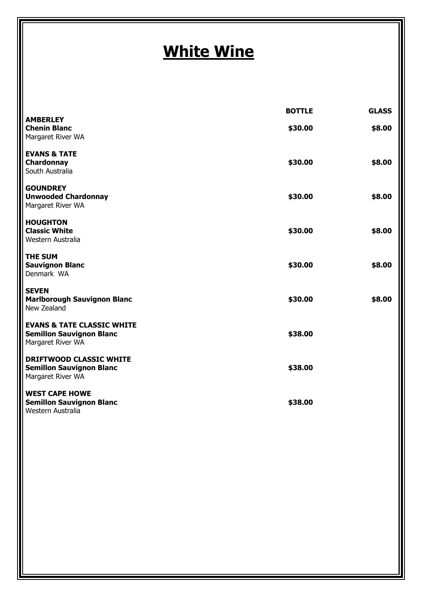# **White Wine**

|                                                                                               | <b>BOTTLE</b> | <b>GLASS</b> |
|-----------------------------------------------------------------------------------------------|---------------|--------------|
| <b>AMBERLEY</b><br><b>Chenin Blanc</b><br>Margaret River WA                                   | \$30.00       | \$8.00       |
| <b>EVANS &amp; TATE</b><br>Chardonnay<br>South Australia                                      | \$30.00       | \$8.00       |
| <b>GOUNDREY</b><br><b>Unwooded Chardonnay</b><br>Margaret River WA                            | \$30.00       | \$8.00       |
| <b>HOUGHTON</b><br><b>Classic White</b><br>Western Australia                                  | \$30.00       | \$8.00       |
| <b>THE SUM</b><br><b>Sauvignon Blanc</b><br>Denmark WA                                        | \$30.00       | \$8.00       |
| <b>SEVEN</b><br><b>Marlborough Sauvignon Blanc</b><br>New Zealand                             | \$30.00       | \$8.00       |
| <b>EVANS &amp; TATE CLASSIC WHITE</b><br><b>Semillon Sauvignon Blanc</b><br>Margaret River WA | \$38.00       |              |
| <b>DRIFTWOOD CLASSIC WHITE</b><br><b>Semillon Sauvignon Blanc</b><br>Margaret River WA        | \$38.00       |              |
| <b>WEST CAPE HOWE</b><br><b>Semillon Sauvignon Blanc</b><br>Western Australia                 | \$38.00       |              |
|                                                                                               |               |              |